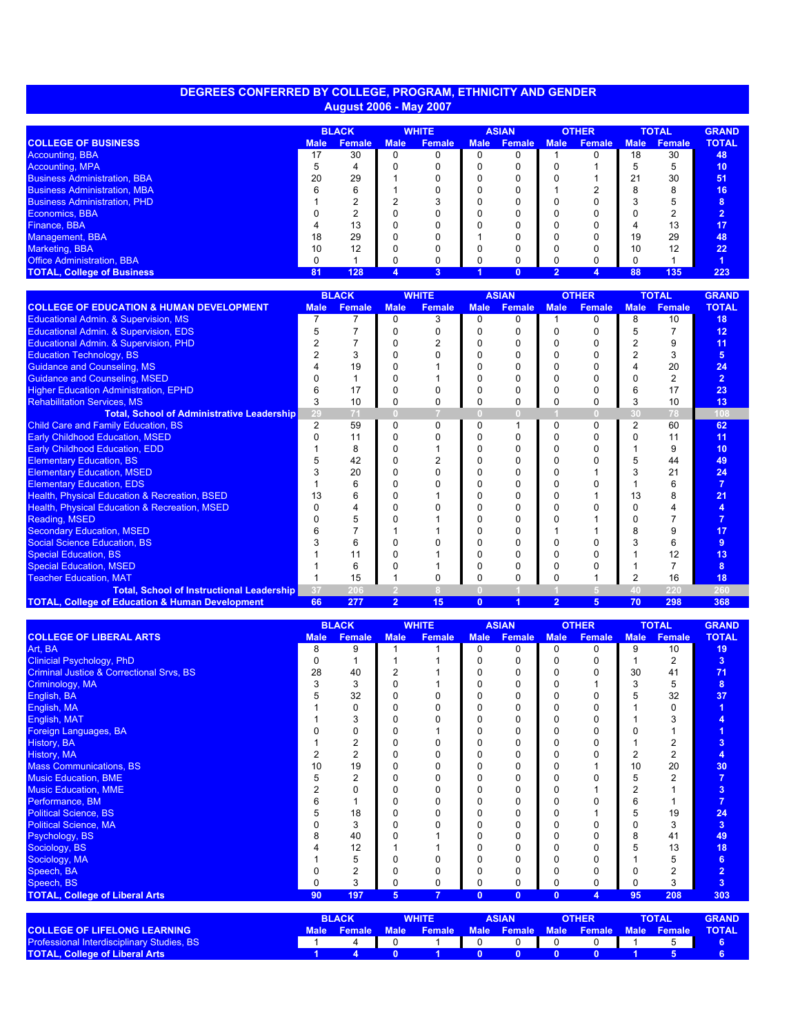## **DEGREES CONFERRED BY COLLEGE, PROGRAM, ETHNICITY AND GENDER August 2006 - May 2007**

|                                     | <b>BLACK</b> |               | <b>WHITE</b> |               | <b>ASIAN</b> |        | <b>OTHER</b> |               | <b>TOTAL</b> |        | <b>GRAND</b> |
|-------------------------------------|--------------|---------------|--------------|---------------|--------------|--------|--------------|---------------|--------------|--------|--------------|
| <b>COLLEGE OF BUSINESS</b>          | <b>Male</b>  | <b>Female</b> | <b>Male</b>  | <b>Female</b> | <b>Male</b>  | Female | <b>Male</b>  | <b>Female</b> | <b>Male</b>  | Female | <b>TOTAL</b> |
| Accounting, BBA                     | 17           | 30            |              |               |              |        |              |               | 18           | 30     | 48           |
| Accounting, MPA                     |              |               |              |               |              |        |              |               |              | 5      | 10           |
| <b>Business Administration, BBA</b> | 20           | 29            |              |               |              |        |              |               | 21           | 30     | 51           |
| <b>Business Administration, MBA</b> |              | 6             |              |               |              |        |              |               |              | 8      | 16           |
| <b>Business Administration, PHD</b> |              |               |              |               |              |        |              |               |              | 'n.    | 8            |
| Economics, BBA                      |              | c             |              |               |              |        |              |               |              |        |              |
| Finance, BBA                        |              | 13            |              |               |              |        |              |               |              | 13     | 17           |
| Management, BBA                     | 18           | 29            |              |               |              |        |              |               | 19           | 29     | 48           |
| Marketing, BBA                      | 10           | 12            |              |               |              |        |              |               | 10           | 12     | 22           |
| <b>Office Administration, BBA</b>   |              |               |              | <sup>0</sup>  |              |        |              |               |              |        |              |
| <b>TOTAL, College of Business</b>   | 81           | 128           | 4            | 3             |              |        |              |               | 88           | 135    | 223          |

|                                                            |             | <b>BLACK</b>  | <b>WHITE</b>   |               | <b>ASIAN</b>   |               | <b>OTHER</b>   |               | <b>TOTAL</b> |               | <b>GRAND</b>      |
|------------------------------------------------------------|-------------|---------------|----------------|---------------|----------------|---------------|----------------|---------------|--------------|---------------|-------------------|
| <b>COLLEGE OF EDUCATION &amp; HUMAN DEVELOPMENT</b>        | <b>Male</b> | <b>Female</b> | <b>Male</b>    | <b>Female</b> | <b>Male</b>    | <b>Female</b> | <b>Male</b>    | <b>Female</b> | <b>Male</b>  | <b>Female</b> | <b>TOTAL</b>      |
| <b>Educational Admin. &amp; Supervision, MS</b>            |             |               | 0              | 3             | 0              | n             |                | n             | 8            | 10            | 18                |
| Educational Admin. & Supervision, EDS                      |             |               |                |               |                | n             | n              |               |              |               | $12 \overline{ }$ |
| Educational Admin. & Supervision, PHD                      |             |               |                |               |                |               |                |               |              |               | 11                |
| <b>Education Technology, BS</b>                            |             | 3             |                |               |                | ი             |                |               |              |               | 5 <sup>5</sup>    |
| <b>Guidance and Counseling, MS</b>                         |             | 19            |                |               |                |               |                |               |              | 20            | 24                |
| <b>Guidance and Counseling, MSED</b>                       |             |               |                |               |                |               |                |               |              |               | $\overline{2}$    |
| <b>Higher Education Administration, EPHD</b>               |             | 17            |                |               |                |               |                |               |              | 17            | 23                |
| <b>Rehabilitation Services, MS</b>                         |             | 10            | 0              |               |                |               |                |               | 3            | 10            | 13                |
| <b>Total, School of Administrative Leadership</b>          | 29          | 71            |                |               | n              | ω             |                | n             | 30           | 78            | 108               |
| <b>Child Care and Family Education, BS</b>                 | 2           | 59            | $\Omega$       | $\Omega$      | ŋ              |               | 0              | n             |              | 60            | 62                |
| <b>Early Childhood Education, MSED</b>                     |             | 11            |                |               |                |               |                |               |              | 11            | 11                |
| <b>Early Childhood Education, EDD</b>                      |             | 8             |                |               |                |               |                |               |              | 9             | 10                |
| <b>Elementary Education, BS</b>                            |             | 42            |                |               |                | n             |                |               |              | 44            | 49                |
| <b>Elementary Education, MSED</b>                          |             | 20            |                |               |                |               |                |               |              | 21            | 24                |
| <b>Elementary Education, EDS</b>                           |             | 6             |                |               |                | n             |                |               |              | 6             |                   |
| <b>Health, Physical Education &amp; Recreation, BSED</b>   |             | 6             |                |               |                |               |                |               | 13           |               | 21                |
| <b>Health, Physical Education &amp; Recreation, MSED</b>   |             |               |                |               |                | ი             |                |               |              |               |                   |
| Reading, MSED                                              |             |               |                |               |                |               |                |               |              |               |                   |
| <b>Secondary Education, MSED</b>                           |             |               |                |               |                |               |                |               |              |               | 17                |
| <b>Social Science Education, BS</b>                        |             | 6             |                |               |                |               |                |               |              | 6             | 9                 |
| <b>Special Education, BS</b>                               |             | 11            |                |               |                | n             |                |               |              | 12            | 13                |
| <b>Special Education, MSED</b>                             |             | 6             |                |               |                |               |                |               |              |               | 8                 |
| <b>Teacher Education, MAT</b>                              |             | 15            |                |               |                |               |                |               |              | 16            | 18                |
| <b>Total, School of Instructional Leadership</b>           | 37          | 206           |                |               |                |               |                |               | 40           | 220           | 260               |
| <b>TOTAL, College of Education &amp; Human Development</b> | 66          | 277           | $\overline{2}$ | 15            | $\overline{0}$ |               | $\overline{2}$ | 5.            | 70           | 298           | 368               |

|                                                     |             | <b>BLACK</b>   |                | <b>WHITE</b>   |             | <b>ASIAN</b>  |             | <b>OTHER</b>  |             | <b>TOTAL</b>   | <b>GRAND</b>   |
|-----------------------------------------------------|-------------|----------------|----------------|----------------|-------------|---------------|-------------|---------------|-------------|----------------|----------------|
| <b>COLLEGE OF LIBERAL ARTS</b>                      | <b>Male</b> | <b>Female</b>  | <b>Male</b>    | <b>Female</b>  | <b>Male</b> | <b>Female</b> | <b>Male</b> | <b>Female</b> | <b>Male</b> | <b>Female</b>  | <b>TOTAL</b>   |
| Art, BA                                             | 8           | 9              |                |                | $\Omega$    | 0             | 0           | 0             | 9           | 10             | 19             |
| <b>Clinicial Psychology, PhD</b>                    |             |                |                |                |             |               |             |               |             | 2              | 3 <sup>2</sup> |
| <b>Criminal Justice &amp; Correctional Srvs, BS</b> | 28          | 40             |                |                |             |               |             |               | 30          | 41             | 71             |
| Criminology, MA                                     |             | 3              |                |                |             |               |             |               |             | 5              | 8              |
| English, BA                                         |             | 32             |                |                |             | 0             |             |               |             | 32             | 37             |
| English, MA                                         |             | 0              |                |                |             | U             |             |               |             | $\Omega$       |                |
| English, MAT                                        |             | 3              |                |                |             | U             |             |               |             |                |                |
| Foreign Languages, BA                               |             | 0              |                |                |             |               |             |               |             |                |                |
| <b>History, BA</b>                                  |             | 2              |                | n              |             | U             |             |               |             |                | 3              |
| <b>History, MA</b>                                  |             | $\overline{2}$ |                | n              |             | U             |             |               |             | 2              | 4              |
| <b>Mass Communications, BS</b>                      | 10          | 19             |                | ŋ              |             | O             |             |               | 10          | 20             | 30             |
| <b>Music Education, BME</b>                         |             | 2              |                | n              |             |               |             |               |             | $\mathfrak{p}$ |                |
| <b>Music Education, MME</b>                         |             | $\Omega$       |                | ŋ              |             | U             |             |               |             |                | 3              |
| Performance, BM                                     |             |                |                |                |             |               |             |               |             |                |                |
| <b>Political Science, BS</b>                        |             | 18             |                | n              |             |               |             |               |             | 19             | 24             |
| <b>Political Science, MA</b>                        |             | 3              |                |                |             |               |             |               |             | 3              | $\overline{3}$ |
| Psychology, BS                                      |             | 40             |                |                |             |               |             |               |             | 41             | 49             |
| Sociology, BS                                       |             | 12             |                |                |             |               |             |               |             | 13             | 18             |
| Sociology, MA                                       |             | 5              |                |                |             |               |             |               |             |                | 6 <sup>1</sup> |
| Speech, BA                                          |             | $\overline{2}$ |                | U              |             |               |             |               |             |                | $\overline{2}$ |
| Speech, BS                                          | $\Omega$    | 3              | 0              | 0              |             | 0             | 0           | 0             |             | 3              | $\overline{3}$ |
| <b>TOTAL, College of Liberal Arts</b>               | 90          | 197            | 5 <sup>5</sup> | $\overline{7}$ | $\Omega$    | $\bf{0}$      | $\bf{0}$    | 4             | 95          | 208            | 303            |
|                                                     |             |                |                |                |             |               |             |               |             |                |                |

|                                                   | <b>BLACK</b> |                  | <b>WHITE</b> |                                                              | ASIANI |  | <b>)THER</b> |  | <b>TOTAL</b> |  | <b>GRAND</b> |
|---------------------------------------------------|--------------|------------------|--------------|--------------------------------------------------------------|--------|--|--------------|--|--------------|--|--------------|
| <b>COLLEGE OF LIFELONG LEARNING</b>               |              | Male Female Male |              | . Female   Male   Female   Male   Female   Male   Female   ' |        |  |              |  |              |  | <b>NOTAL</b> |
| <b>Professional Interdisciplinary Studies, BS</b> |              |                  |              |                                                              |        |  |              |  |              |  |              |
| <b>TOTAL, College of Liberal Arts</b>             |              |                  |              |                                                              |        |  |              |  |              |  |              |